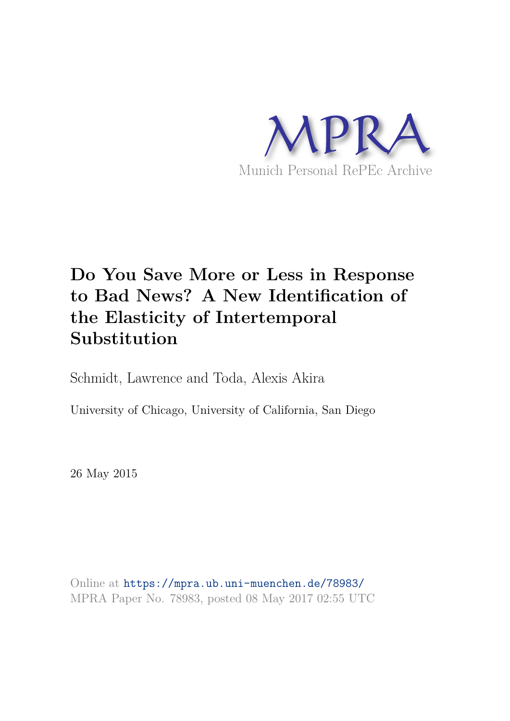

# **Do You Save More or Less in Response to Bad News? A New Identification of the Elasticity of Intertemporal Substitution**

Schmidt, Lawrence and Toda, Alexis Akira

University of Chicago, University of California, San Diego

26 May 2015

Online at https://mpra.ub.uni-muenchen.de/78983/ MPRA Paper No. 78983, posted 08 May 2017 02:55 UTC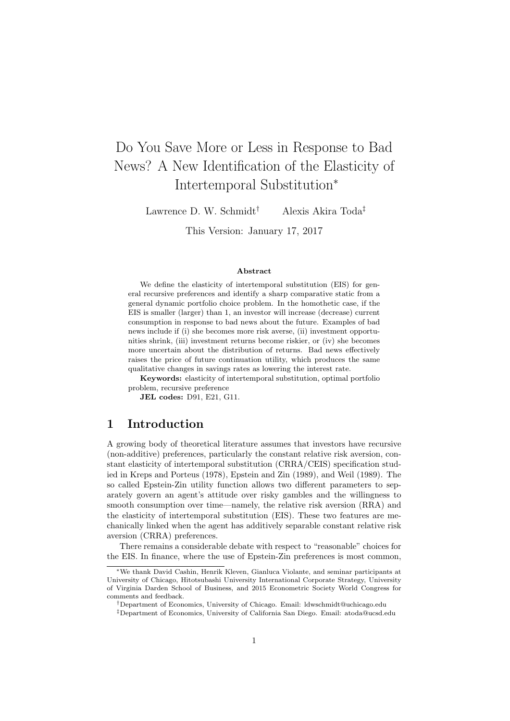## Do You Save More or Less in Response to Bad News? A New Identification of the Elasticity of Intertemporal Substitution<sup>∗</sup>

Lawrence D. W. Schmidt<sup>†</sup> Alexis Akira Toda<sup>‡</sup>

This Version: January 17, 2017

#### Abstract

We define the elasticity of intertemporal substitution (EIS) for general recursive preferences and identify a sharp comparative static from a general dynamic portfolio choice problem. In the homothetic case, if the EIS is smaller (larger) than 1, an investor will increase (decrease) current consumption in response to bad news about the future. Examples of bad news include if (i) she becomes more risk averse, (ii) investment opportunities shrink, (iii) investment returns become riskier, or (iv) she becomes more uncertain about the distribution of returns. Bad news effectively raises the price of future continuation utility, which produces the same qualitative changes in savings rates as lowering the interest rate.

Keywords: elasticity of intertemporal substitution, optimal portfolio problem, recursive preference

JEL codes: D91, E21, G11.

#### 1 Introduction

A growing body of theoretical literature assumes that investors have recursive (non-additive) preferences, particularly the constant relative risk aversion, constant elasticity of intertemporal substitution (CRRA/CEIS) specification studied in Kreps and Porteus (1978), Epstein and Zin (1989), and Weil (1989). The so called Epstein-Zin utility function allows two different parameters to separately govern an agent's attitude over risky gambles and the willingness to smooth consumption over time—namely, the relative risk aversion (RRA) and the elasticity of intertemporal substitution (EIS). These two features are mechanically linked when the agent has additively separable constant relative risk aversion (CRRA) preferences.

There remains a considerable debate with respect to "reasonable" choices for the EIS. In finance, where the use of Epstein-Zin preferences is most common,

†Department of Economics, University of Chicago. Email: ldwschmidt@uchicago.edu

<sup>∗</sup>We thank David Cashin, Henrik Kleven, Gianluca Violante, and seminar participants at University of Chicago, Hitotsubashi University International Corporate Strategy, University of Virginia Darden School of Business, and 2015 Econometric Society World Congress for comments and feedback.

<sup>‡</sup>Department of Economics, University of California San Diego. Email: atoda@ucsd.edu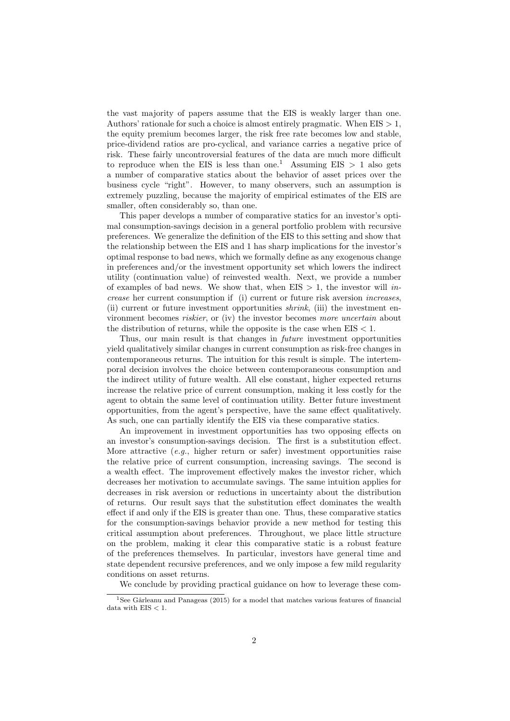the vast majority of papers assume that the EIS is weakly larger than one. Authors' rationale for such a choice is almost entirely pragmatic. When  $EIS > 1$ , the equity premium becomes larger, the risk free rate becomes low and stable, price-dividend ratios are pro-cyclical, and variance carries a negative price of risk. These fairly uncontroversial features of the data are much more difficult to reproduce when the EIS is less than one.<sup>1</sup> Assuming EIS  $> 1$  also gets a number of comparative statics about the behavior of asset prices over the business cycle "right". However, to many observers, such an assumption is extremely puzzling, because the majority of empirical estimates of the EIS are smaller, often considerably so, than one.

This paper develops a number of comparative statics for an investor's optimal consumption-savings decision in a general portfolio problem with recursive preferences. We generalize the definition of the EIS to this setting and show that the relationship between the EIS and 1 has sharp implications for the investor's optimal response to bad news, which we formally define as any exogenous change in preferences and/or the investment opportunity set which lowers the indirect utility (continuation value) of reinvested wealth. Next, we provide a number of examples of bad news. We show that, when  $EIS > 1$ , the investor will increase her current consumption if (i) current or future risk aversion increases, (ii) current or future investment opportunities shrink, (iii) the investment environment becomes riskier, or (iv) the investor becomes more uncertain about the distribution of returns, while the opposite is the case when  $EIS < 1$ .

Thus, our main result is that changes in future investment opportunities yield qualitatively similar changes in current consumption as risk-free changes in contemporaneous returns. The intuition for this result is simple. The intertemporal decision involves the choice between contemporaneous consumption and the indirect utility of future wealth. All else constant, higher expected returns increase the relative price of current consumption, making it less costly for the agent to obtain the same level of continuation utility. Better future investment opportunities, from the agent's perspective, have the same effect qualitatively. As such, one can partially identify the EIS via these comparative statics.

An improvement in investment opportunities has two opposing effects on an investor's consumption-savings decision. The first is a substitution effect. More attractive  $(e.g.,\)$  higher return or safer) investment opportunities raise the relative price of current consumption, increasing savings. The second is a wealth effect. The improvement effectively makes the investor richer, which decreases her motivation to accumulate savings. The same intuition applies for decreases in risk aversion or reductions in uncertainty about the distribution of returns. Our result says that the substitution effect dominates the wealth effect if and only if the EIS is greater than one. Thus, these comparative statics for the consumption-savings behavior provide a new method for testing this critical assumption about preferences. Throughout, we place little structure on the problem, making it clear this comparative static is a robust feature of the preferences themselves. In particular, investors have general time and state dependent recursive preferences, and we only impose a few mild regularity conditions on asset returns.

We conclude by providing practical guidance on how to leverage these com-

 $\frac{1}{1}$ See Gârleanu and Panageas (2015) for a model that matches various features of financial data with  $EIS < 1$ .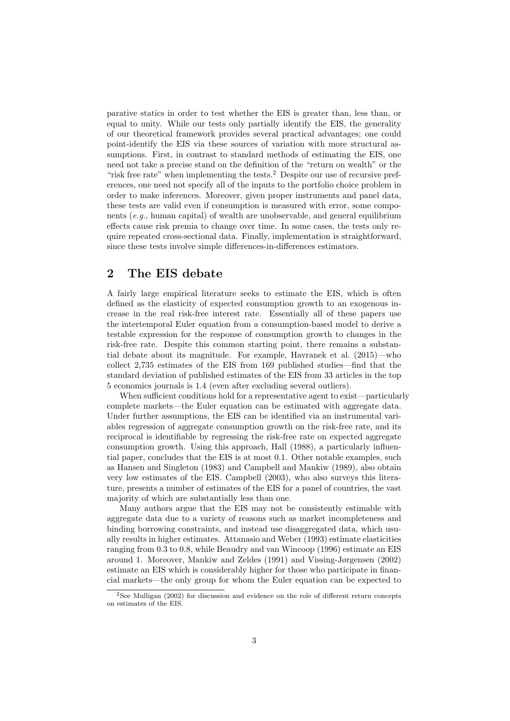parative statics in order to test whether the EIS is greater than, less than, or equal to unity. While our tests only partially identify the EIS, the generality of our theoretical framework provides several practical advantages; one could point-identify the EIS via these sources of variation with more structural assumptions. First, in contrast to standard methods of estimating the EIS, one need not take a precise stand on the definition of the "return on wealth" or the "risk free rate" when implementing the tests.<sup>2</sup> Despite our use of recursive preferences, one need not specify all of the inputs to the portfolio choice problem in order to make inferences. Moreover, given proper instruments and panel data, these tests are valid even if consumption is measured with error, some components (e.g., human capital) of wealth are unobservable, and general equilibrium effects cause risk premia to change over time. In some cases, the tests only require repeated cross-sectional data. Finally, implementation is straightforward, since these tests involve simple differences-in-differences estimators.

## 2 The EIS debate

A fairly large empirical literature seeks to estimate the EIS, which is often defined as the elasticity of expected consumption growth to an exogenous increase in the real risk-free interest rate. Essentially all of these papers use the intertemporal Euler equation from a consumption-based model to derive a testable expression for the response of consumption growth to changes in the risk-free rate. Despite this common starting point, there remains a substantial debate about its magnitude. For example, Havranek et al. (2015)—who collect 2,735 estimates of the EIS from 169 published studies—find that the standard deviation of published estimates of the EIS from 33 articles in the top 5 economics journals is 1.4 (even after excluding several outliers).

When sufficient conditions hold for a representative agent to exist—particularly complete markets—the Euler equation can be estimated with aggregate data. Under further assumptions, the EIS can be identified via an instrumental variables regression of aggregate consumption growth on the risk-free rate, and its reciprocal is identifiable by regressing the risk-free rate on expected aggregate consumption growth. Using this approach, Hall (1988), a particularly influential paper, concludes that the EIS is at most 0.1. Other notable examples, such as Hansen and Singleton (1983) and Campbell and Mankiw (1989), also obtain very low estimates of the EIS. Campbell (2003), who also surveys this literature, presents a number of estimates of the EIS for a panel of countries, the vast majority of which are substantially less than one.

Many authors argue that the EIS may not be consistently estimable with aggregate data due to a variety of reasons such as market incompleteness and binding borrowing constraints, and instead use disaggregated data, which usually results in higher estimates. Attanasio and Weber (1993) estimate elasticities ranging from 0.3 to 0.8, while Beaudry and van Wincoop (1996) estimate an EIS around 1. Moreover, Mankiw and Zeldes (1991) and Vissing-Jørgensen (2002) estimate an EIS which is considerably higher for those who participate in financial markets—the only group for whom the Euler equation can be expected to

<sup>&</sup>lt;sup>2</sup>See Mulligan (2002) for discussion and evidence on the role of different return concepts on estimates of the EIS.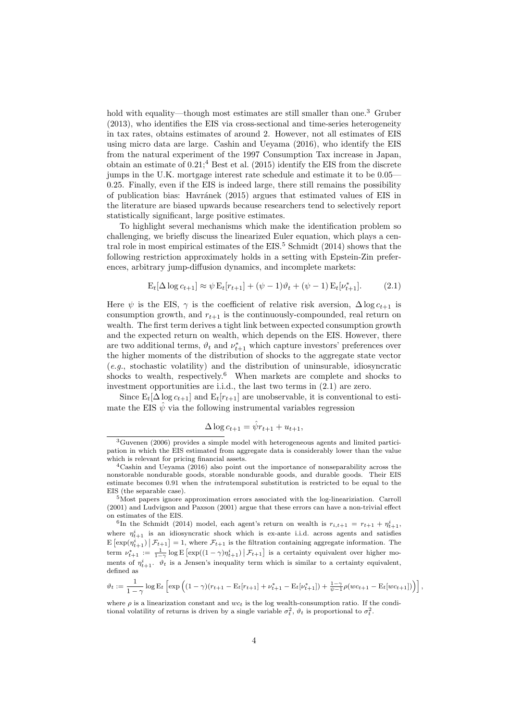hold with equality—though most estimates are still smaller than one.<sup>3</sup> Gruber (2013), who identifies the EIS via cross-sectional and time-series heterogeneity in tax rates, obtains estimates of around 2. However, not all estimates of EIS using micro data are large. Cashin and Ueyama (2016), who identify the EIS from the natural experiment of the 1997 Consumption Tax increase in Japan, obtain an estimate of  $0.21$ ;<sup>4</sup> Best et al. (2015) identify the EIS from the discrete jumps in the U.K. mortgage interest rate schedule and estimate it to be 0.05— 0.25. Finally, even if the EIS is indeed large, there still remains the possibility of publication bias: Havránek (2015) argues that estimated values of EIS in the literature are biased upwards because researchers tend to selectively report statistically significant, large positive estimates.

To highlight several mechanisms which make the identification problem so challenging, we briefly discuss the linearized Euler equation, which plays a central role in most empirical estimates of the  $EIS$ <sup>5</sup> Schmidt (2014) shows that the following restriction approximately holds in a setting with Epstein-Zin preferences, arbitrary jump-diffusion dynamics, and incomplete markets:

$$
E_t[\Delta \log c_{t+1}] \approx \psi E_t[r_{t+1}] + (\psi - 1)\vartheta_t + (\psi - 1)E_t[\nu_{t+1}^*].
$$
 (2.1)

Here  $\psi$  is the EIS,  $\gamma$  is the coefficient of relative risk aversion,  $\Delta \log c_{t+1}$  is consumption growth, and  $r_{t+1}$  is the continuously-compounded, real return on wealth. The first term derives a tight link between expected consumption growth and the expected return on wealth, which depends on the EIS. However, there are two additional terms,  $\vartheta_t$  and  $\nu_{t+1}^*$  which capture investors' preferences over the higher moments of the distribution of shocks to the aggregate state vector (e.g., stochastic volatility) and the distribution of uninsurable, idiosyncratic shocks to wealth, respectively.<sup>6</sup> When markets are complete and shocks to investment opportunities are i.i.d., the last two terms in (2.1) are zero.

Since  $E_t[\Delta \log c_{t+1}]$  and  $E_t[r_{t+1}]$  are unobservable, it is conventional to estimate the EIS  $\hat{\psi}$  via the following instrumental variables regression

$$
\Delta \log c_{t+1} = \hat{\psi}r_{t+1} + u_{t+1},
$$

$$
\vartheta_t := \frac{1}{1-\gamma} \log E_t \left[ \exp \left( (1-\gamma)(r_{t+1} - E_t[r_{t+1}] + \nu_{t+1}^* - E_t[\nu_{t+1}^*]) + \frac{1-\gamma}{\psi-1} \rho(wc_{t+1} - E_t[wc_{t+1}]) \right) \right],
$$

<sup>3</sup>Guvenen (2006) provides a simple model with heterogeneous agents and limited participation in which the EIS estimated from aggregate data is considerably lower than the value which is relevant for pricing financial assets.

<sup>4</sup>Cashin and Ueyama (2016) also point out the importance of nonseparability across the nonstorable nondurable goods, storable nondurable goods, and durable goods. Their EIS estimate becomes 0.91 when the intratemporal substitution is restricted to be equal to the EIS (the separable case).

<sup>5</sup>Most papers ignore approximation errors associated with the log-lineariziation. Carroll (2001) and Ludvigson and Paxson (2001) argue that these errors can have a non-trivial effect on estimates of the EIS.

<sup>&</sup>lt;sup>6</sup>In the Schmidt (2014) model, each agent's return on wealth is  $r_{i,t+1} = r_{t+1} + \eta_{t+1}^i$ , where  $\eta_{t+1}^i$  is an idiosyncratic shock which is ex-ante i.i.d. across agents and satisfies  $E\left[\exp(\eta_{t+1}^i) \mid \mathcal{F}_{t+1}\right] = 1$ , where  $\mathcal{F}_{t+1}$  is the filtration containing aggregate information. The term  $\nu_{t+1}^* := \frac{1}{1-\gamma} \log E \left[ \exp((1-\gamma)\eta_{t+1}^i) \, \big| \, \mathcal{F}_{t+1} \right]$  is a certainty equivalent over higher moments of  $\eta_{t+1}^i$ .  $\vartheta_t$  is a Jensen's inequality term which is similar to a certainty equivalent, defined as

where  $\rho$  is a linearization constant and  $wc_t$  is the log wealth-consumption ratio. If the conditional volatility of returns is driven by a single variable  $\sigma_t^2$ ,  $\vartheta_t$  is proportional to  $\sigma_t^2$ .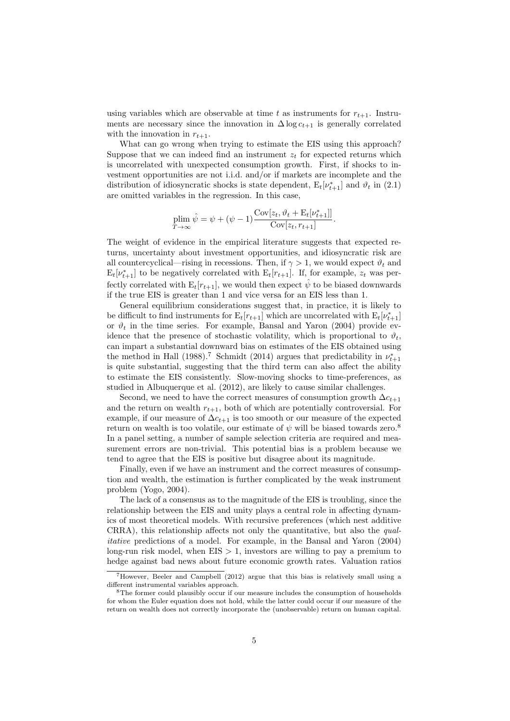using variables which are observable at time t as instruments for  $r_{t+1}$ . Instruments are necessary since the innovation in  $\Delta \log c_{t+1}$  is generally correlated with the innovation in  $r_{t+1}$ .

What can go wrong when trying to estimate the EIS using this approach? Suppose that we can indeed find an instrument  $z_t$  for expected returns which is uncorrelated with unexpected consumption growth. First, if shocks to investment opportunities are not i.i.d. and/or if markets are incomplete and the distribution of idiosyncratic shocks is state dependent,  $E_t[\nu_{t+1}^*]$  and  $\vartheta_t$  in (2.1) are omitted variables in the regression. In this case,

$$
\underset{T \to \infty}{\text{plim}} \hat{\psi} = \psi + (\psi - 1) \frac{\text{Cov}[z_t, \vartheta_t + \text{E}_t[\nu_{t+1}^*]]}{\text{Cov}[z_t, r_{t+1}]}.
$$

The weight of evidence in the empirical literature suggests that expected returns, uncertainty about investment opportunities, and idiosyncratic risk are all countercyclical—rising in recessions. Then, if  $\gamma > 1$ , we would expect  $\vartheta_t$  and  $E_t[\nu_{t+1}^*]$  to be negatively correlated with  $E_t[r_{t+1}]$ . If, for example,  $z_t$  was perfectly correlated with  $E_t[r_{t+1}]$ , we would then expect  $\hat{\psi}$  to be biased downwards if the true EIS is greater than 1 and vice versa for an EIS less than 1.

General equilibrium considerations suggest that, in practice, it is likely to be difficult to find instruments for  $E_t[r_{t+1}]$  which are uncorrelated with  $E_t[\nu_{t+1}^*]$ or  $\vartheta_t$  in the time series. For example, Bansal and Yaron (2004) provide evidence that the presence of stochastic volatility, which is proportional to  $\vartheta_t$ , can impart a substantial downward bias on estimates of the EIS obtained using the method in Hall (1988).<sup>7</sup> Schmidt (2014) argues that predictability in  $\nu_{t+1}^*$ is quite substantial, suggesting that the third term can also affect the ability to estimate the EIS consistently. Slow-moving shocks to time-preferences, as studied in Albuquerque et al. (2012), are likely to cause similar challenges.

Second, we need to have the correct measures of consumption growth  $\Delta c_{t+1}$ and the return on wealth  $r_{t+1}$ , both of which are potentially controversial. For example, if our measure of  $\Delta c_{t+1}$  is too smooth or our measure of the expected return on wealth is too volatile, our estimate of  $\psi$  will be biased towards zero.<sup>8</sup> In a panel setting, a number of sample selection criteria are required and measurement errors are non-trivial. This potential bias is a problem because we tend to agree that the EIS is positive but disagree about its magnitude.

Finally, even if we have an instrument and the correct measures of consumption and wealth, the estimation is further complicated by the weak instrument problem (Yogo, 2004).

The lack of a consensus as to the magnitude of the EIS is troubling, since the relationship between the EIS and unity plays a central role in affecting dynamics of most theoretical models. With recursive preferences (which nest additive CRRA), this relationship affects not only the quantitative, but also the qualitative predictions of a model. For example, in the Bansal and Yaron (2004) long-run risk model, when  $EIS > 1$ , investors are willing to pay a premium to hedge against bad news about future economic growth rates. Valuation ratios

<sup>7</sup>However, Beeler and Campbell (2012) argue that this bias is relatively small using a different instrumental variables approach.

<sup>8</sup>The former could plausibly occur if our measure includes the consumption of households for whom the Euler equation does not hold, while the latter could occur if our measure of the return on wealth does not correctly incorporate the (unobservable) return on human capital.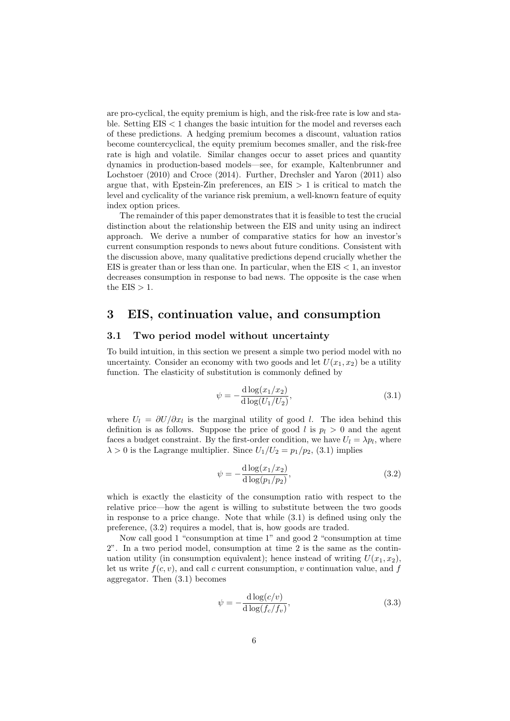are pro-cyclical, the equity premium is high, and the risk-free rate is low and stable. Setting EIS < 1 changes the basic intuition for the model and reverses each of these predictions. A hedging premium becomes a discount, valuation ratios become countercyclical, the equity premium becomes smaller, and the risk-free rate is high and volatile. Similar changes occur to asset prices and quantity dynamics in production-based models—see, for example, Kaltenbrunner and Lochstoer (2010) and Croce (2014). Further, Drechsler and Yaron (2011) also argue that, with Epstein-Zin preferences, an  $EIS > 1$  is critical to match the level and cyclicality of the variance risk premium, a well-known feature of equity index option prices.

The remainder of this paper demonstrates that it is feasible to test the crucial distinction about the relationship between the EIS and unity using an indirect approach. We derive a number of comparative statics for how an investor's current consumption responds to news about future conditions. Consistent with the discussion above, many qualitative predictions depend crucially whether the EIS is greater than or less than one. In particular, when the  $EIS < 1$ , an investor decreases consumption in response to bad news. The opposite is the case when the  $EIS > 1$ .

## 3 EIS, continuation value, and consumption

#### 3.1 Two period model without uncertainty

To build intuition, in this section we present a simple two period model with no uncertainty. Consider an economy with two goods and let  $U(x_1, x_2)$  be a utility function. The elasticity of substitution is commonly defined by

$$
\psi = -\frac{d \log(x_1/x_2)}{d \log(U_1/U_2)},
$$
\n(3.1)

where  $U_l = \partial U / \partial x_l$  is the marginal utility of good l. The idea behind this definition is as follows. Suppose the price of good l is  $p_l > 0$  and the agent faces a budget constraint. By the first-order condition, we have  $U_l = \lambda p_l$ , where  $\lambda > 0$  is the Lagrange multiplier. Since  $U_1/U_2 = p_1/p_2$ , (3.1) implies

$$
\psi = -\frac{d \log(x_1/x_2)}{d \log(p_1/p_2)},
$$
\n(3.2)

which is exactly the elasticity of the consumption ratio with respect to the relative price—how the agent is willing to substitute between the two goods in response to a price change. Note that while (3.1) is defined using only the preference, (3.2) requires a model, that is, how goods are traded.

Now call good 1 "consumption at time 1" and good 2 "consumption at time 2". In a two period model, consumption at time 2 is the same as the continuation utility (in consumption equivalent); hence instead of writing  $U(x_1, x_2)$ , let us write  $f(c, v)$ , and call c current consumption, v continuation value, and f aggregator. Then (3.1) becomes

$$
\psi = -\frac{\mathrm{d}\log(c/v)}{\mathrm{d}\log(f_c/f_v)},\tag{3.3}
$$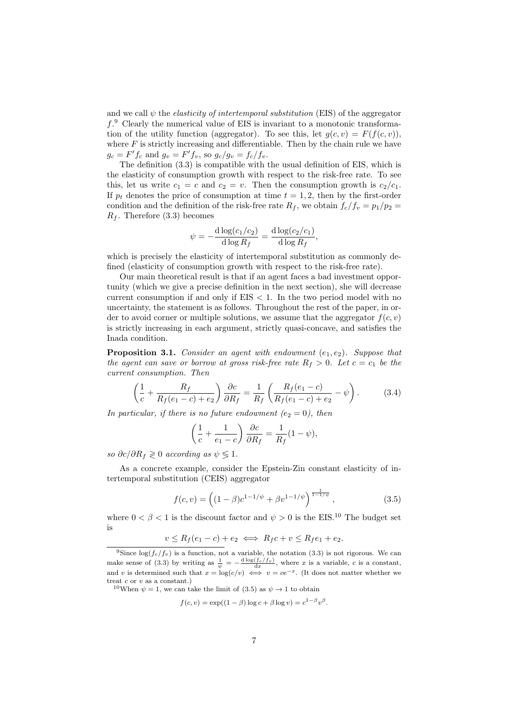and we call  $\psi$  the *elasticity of intertemporal substitution* (EIS) of the aggregator f. <sup>9</sup> Clearly the numerical value of EIS is invariant to a monotonic transformation of the utility function (aggregator). To see this, let  $g(c, v) = F(f(c, v))$ , where  $F$  is strictly increasing and differentiable. Then by the chain rule we have  $g_c = F' f_c$  and  $g_v = F' f_v$ , so  $g_c / g_v = f_c / f_v$ .

The definition (3.3) is compatible with the usual definition of EIS, which is the elasticity of consumption growth with respect to the risk-free rate. To see this, let us write  $c_1 = c$  and  $c_2 = v$ . Then the consumption growth is  $c_2/c_1$ . If  $p_t$  denotes the price of consumption at time  $t = 1, 2$ , then by the first-order condition and the definition of the risk-free rate  $R_f$ , we obtain  $f_c/f_v = p_1/p_2 =$  $R_f$ . Therefore (3.3) becomes

$$
\psi = -\frac{\mathrm{d}\log(c_1/c_2)}{\mathrm{d}\log R_f} = \frac{\mathrm{d}\log(c_2/c_1)}{\mathrm{d}\log R_f},
$$

which is precisely the elasticity of intertemporal substitution as commonly defined (elasticity of consumption growth with respect to the risk-free rate).

Our main theoretical result is that if an agent faces a bad investment opportunity (which we give a precise definition in the next section), she will decrease current consumption if and only if  $EIS < 1$ . In the two period model with no uncertainty, the statement is as follows. Throughout the rest of the paper, in order to avoid corner or multiple solutions, we assume that the aggregator  $f(c, v)$ is strictly increasing in each argument, strictly quasi-concave, and satisfies the Inada condition.

**Proposition 3.1.** Consider an agent with endowment  $(e_1, e_2)$ . Suppose that the agent can save or borrow at gross risk-free rate  $R_f > 0$ . Let  $c = c_1$  be the current consumption. Then

$$
\left(\frac{1}{c} + \frac{R_f}{R_f(e_1 - c) + e_2}\right) \frac{\partial c}{\partial R_f} = \frac{1}{R_f} \left(\frac{R_f(e_1 - c)}{R_f(e_1 - c) + e_2} - \psi\right). \tag{3.4}
$$

In particular, if there is no future endowment ( $e_2 = 0$ ), then

$$
\left(\frac{1}{c} + \frac{1}{e_1 - c}\right) \frac{\partial c}{\partial R_f} = \frac{1}{R_f} (1 - \psi),
$$

so  $\partial c/\partial R_f \geqslant 0$  according as  $\psi \leqslant 1$ .

As a concrete example, consider the Epstein-Zin constant elasticity of intertemporal substitution (CEIS) aggregator

$$
f(c,v) = \left( (1 - \beta)c^{1 - 1/\psi} + \beta v^{1 - 1/\psi} \right)^{\frac{1}{1 - 1/\psi}},
$$
\n(3.5)

where  $0 < \beta < 1$  is the discount factor and  $\psi > 0$  is the EIS.<sup>10</sup> The budget set is

$$
v \le R_f(e_1 - c) + e_2 \iff R_f c + v \le R_f e_1 + e_2.
$$

$$
f(c, v) = \exp((1 - \beta) \log c + \beta \log v) = c^{1 - \beta} v^{\beta}.
$$

<sup>&</sup>lt;sup>9</sup>Since  $\log(f_c/f_v)$  is a function, not a variable, the notation (3.3) is not rigorous. We can make sense of (3.3) by writing as  $\frac{1}{\psi} = -\frac{d \log(f_c/f_v)}{dx}$ , where x is a variable, c is a constant, and v is determined such that  $x = \log(c/v) \iff v = ce^{-x}$ . (It does not matter whether we treat  $c$  or  $v$  as a constant.)

<sup>&</sup>lt;sup>10</sup>When  $\psi = 1$ , we can take the limit of (3.5) as  $\psi \rightarrow 1$  to obtain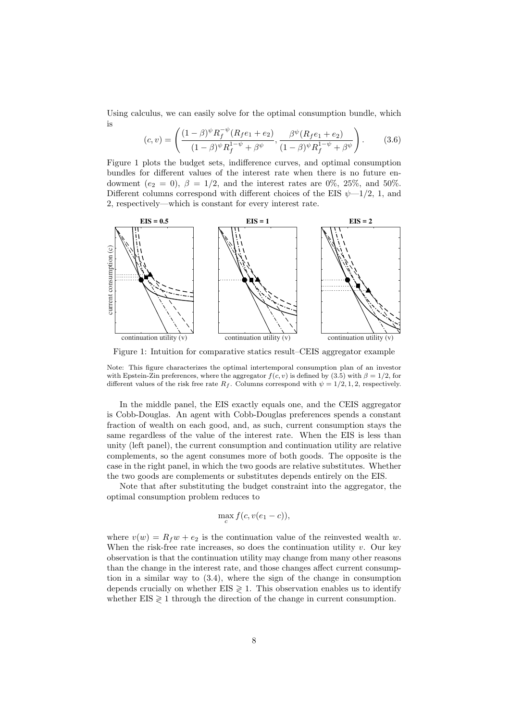Using calculus, we can easily solve for the optimal consumption bundle, which is

$$
(c,v) = \left(\frac{(1-\beta)^{\psi}R_f^{-\psi}(R_f e_1 + e_2)}{(1-\beta)^{\psi}R_f^{1-\psi} + \beta^{\psi}}, \frac{\beta^{\psi}(R_f e_1 + e_2)}{(1-\beta)^{\psi}R_f^{1-\psi} + \beta^{\psi}}\right).
$$
(3.6)

Figure 1 plots the budget sets, indifference curves, and optimal consumption bundles for different values of the interest rate when there is no future endowment ( $e_2 = 0$ ),  $\beta = 1/2$ , and the interest rates are 0%, 25%, and 50%. Different columns correspond with different choices of the EIS  $\psi$ -1/2, 1, and 2, respectively—which is constant for every interest rate.



Figure 1: Intuition for comparative statics result–CEIS aggregator example

Note: This figure characterizes the optimal intertemporal consumption plan of an investor with Epstein-Zin preferences, where the aggregator  $f(c, v)$  is defined by (3.5) with  $\beta = 1/2$ , for different values of the risk free rate  $R_f$ . Columns correspond with  $\psi = 1/2, 1, 2$ , respectively.

In the middle panel, the EIS exactly equals one, and the CEIS aggregator is Cobb-Douglas. An agent with Cobb-Douglas preferences spends a constant fraction of wealth on each good, and, as such, current consumption stays the same regardless of the value of the interest rate. When the EIS is less than unity (left panel), the current consumption and continuation utility are relative complements, so the agent consumes more of both goods. The opposite is the case in the right panel, in which the two goods are relative substitutes. Whether the two goods are complements or substitutes depends entirely on the EIS.

Note that after substituting the budget constraint into the aggregator, the optimal consumption problem reduces to

$$
\max_c f(c, v(e_1 - c)),
$$

where  $v(w) = R_f w + e_2$  is the continuation value of the reinvested wealth w. When the risk-free rate increases, so does the continuation utility  $v$ . Our key observation is that the continuation utility may change from many other reasons than the change in the interest rate, and those changes affect current consumption in a similar way to (3.4), where the sign of the change in consumption depends crucially on whether  $EIS \geq 1$ . This observation enables us to identify whether  $EIS \geq 1$  through the direction of the change in current consumption.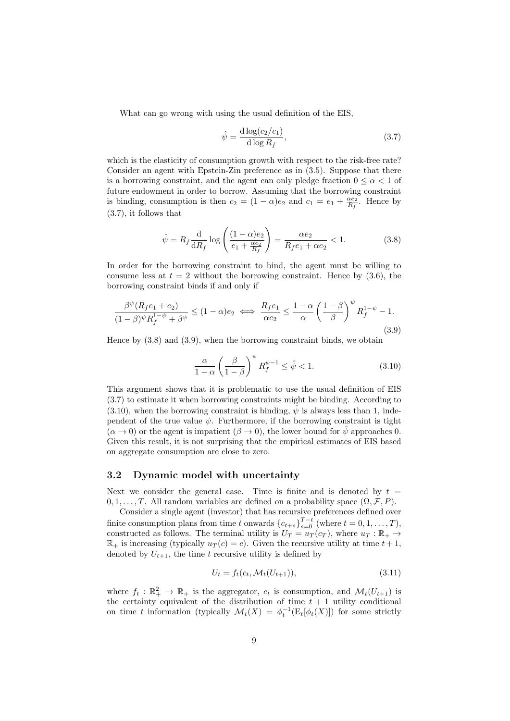What can go wrong with using the usual definition of the EIS,

$$
\hat{\psi} = \frac{\mathrm{d}\log(c_2/c_1)}{\mathrm{d}\log R_f},\tag{3.7}
$$

which is the elasticity of consumption growth with respect to the risk-free rate? Consider an agent with Epstein-Zin preference as in (3.5). Suppose that there is a borrowing constraint, and the agent can only pledge fraction  $0 \leq \alpha < 1$  of future endowment in order to borrow. Assuming that the borrowing constraint is binding, consumption is then  $c_2 = (1 - \alpha)e_2$  and  $c_1 = e_1 + \frac{\alpha e_2}{R_f}$ . Hence by (3.7), it follows that

$$
\hat{\psi} = R_f \frac{\mathrm{d}}{\mathrm{d}R_f} \log \left( \frac{(1-\alpha)e_2}{e_1 + \frac{\alpha e_2}{R_f}} \right) = \frac{\alpha e_2}{R_f e_1 + \alpha e_2} < 1. \tag{3.8}
$$

In order for the borrowing constraint to bind, the agent must be willing to consume less at  $t = 2$  without the borrowing constraint. Hence by  $(3.6)$ , the borrowing constraint binds if and only if

$$
\frac{\beta^{\psi}(R_f e_1 + e_2)}{(1 - \beta)^{\psi} R_f^{1 - \psi} + \beta^{\psi}} \le (1 - \alpha) e_2 \iff \frac{R_f e_1}{\alpha e_2} \le \frac{1 - \alpha}{\alpha} \left(\frac{1 - \beta}{\beta}\right)^{\psi} R_f^{1 - \psi} - 1.
$$
\n(3.9)

Hence by (3.8) and (3.9), when the borrowing constraint binds, we obtain

$$
\frac{\alpha}{1-\alpha} \left(\frac{\beta}{1-\beta}\right)^{\psi} R_f^{\psi-1} \le \hat{\psi} < 1. \tag{3.10}
$$

This argument shows that it is problematic to use the usual definition of EIS (3.7) to estimate it when borrowing constraints might be binding. According to  $(3.10)$ , when the borrowing constraint is binding,  $\hat{\psi}$  is always less than 1, independent of the true value  $\psi$ . Furthermore, if the borrowing constraint is tight  $(\alpha \rightarrow 0)$  or the agent is impatient  $(\beta \rightarrow 0)$ , the lower bound for  $\hat{\psi}$  approaches 0. Given this result, it is not surprising that the empirical estimates of EIS based on aggregate consumption are close to zero.

#### 3.2 Dynamic model with uncertainty

Next we consider the general case. Time is finite and is denoted by  $t =$  $0, 1, \ldots, T$ . All random variables are defined on a probability space  $(\Omega, \mathcal{F}, P)$ .

Consider a single agent (investor) that has recursive preferences defined over finite consumption plans from time t onwards  ${c_{t+s}}_{s=0}^{T-t}$  (where  $t = 0, 1, ..., T$ ), constructed as follows. The terminal utility is  $U_T = u_T(c_T)$ , where  $u_T : \mathbb{R}_+ \to$  $\mathbb{R}_+$  is increasing (typically  $u_T(c) = c$ ). Given the recursive utility at time  $t + 1$ , denoted by  $U_{t+1}$ , the time t recursive utility is defined by

$$
U_t = f_t(c_t, \mathcal{M}_t(U_{t+1})),
$$
\n(3.11)

where  $f_t : \mathbb{R}_+^2 \to \mathbb{R}_+$  is the aggregator,  $c_t$  is consumption, and  $\mathcal{M}_t(U_{t+1})$  is the certainty equivalent of the distribution of time  $t + 1$  utility conditional on time t information (typically  $\mathcal{M}_t(X) = \phi_t^{-1}(\mathrm{E}_t[\phi_t(X)])$  for some strictly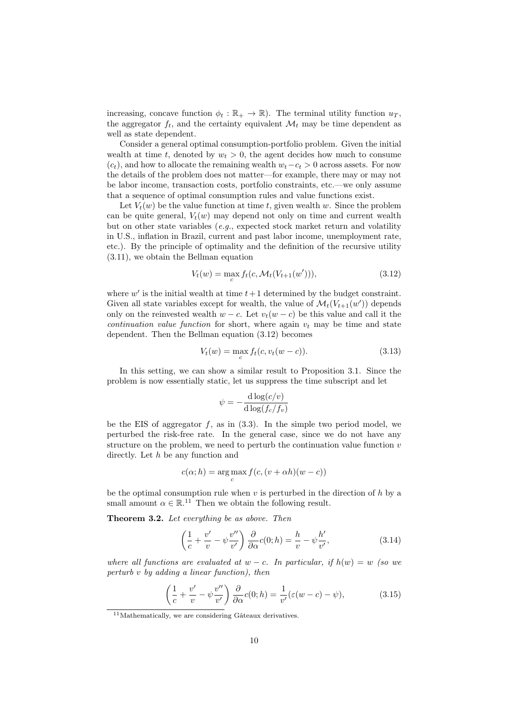increasing, concave function  $\phi_t : \mathbb{R}_+ \to \mathbb{R}$ . The terminal utility function  $u_T$ , the aggregator  $f_t$ , and the certainty equivalent  $\mathcal{M}_t$  may be time dependent as well as state dependent.

Consider a general optimal consumption-portfolio problem. Given the initial wealth at time t, denoted by  $w_t > 0$ , the agent decides how much to consume  $(c<sub>t</sub>)$ , and how to allocate the remaining wealth  $w<sub>t</sub> - c<sub>t</sub> > 0$  across assets. For now the details of the problem does not matter—for example, there may or may not be labor income, transaction costs, portfolio constraints, etc.—we only assume that a sequence of optimal consumption rules and value functions exist.

Let  $V_t(w)$  be the value function at time t, given wealth w. Since the problem can be quite general,  $V_t(w)$  may depend not only on time and current wealth but on other state variables  $(e.g.,$  expected stock market return and volatility in U.S., inflation in Brazil, current and past labor income, unemployment rate, etc.). By the principle of optimality and the definition of the recursive utility (3.11), we obtain the Bellman equation

$$
V_t(w) = \max_c f_t(c, \mathcal{M}_t(V_{t+1}(w'))),
$$
\n(3.12)

where  $w'$  is the initial wealth at time  $t+1$  determined by the budget constraint. Given all state variables except for wealth, the value of  $\mathcal{M}_t(V_{t+1}(w'))$  depends only on the reinvested wealth  $w - c$ . Let  $v_t(w - c)$  be this value and call it the continuation value function for short, where again  $v_t$  may be time and state dependent. Then the Bellman equation (3.12) becomes

$$
V_t(w) = \max_c f_t(c, v_t(w - c)).
$$
\n(3.13)

In this setting, we can show a similar result to Proposition 3.1. Since the problem is now essentially static, let us suppress the time subscript and let

$$
\psi = -\frac{\mathrm{d}\log(c/v)}{\mathrm{d}\log(f_c/f_v)}
$$

be the EIS of aggregator  $f$ , as in  $(3.3)$ . In the simple two period model, we perturbed the risk-free rate. In the general case, since we do not have any structure on the problem, we need to perturb the continuation value function  $v$ directly. Let h be any function and

$$
c(\alpha; h) = \underset{c}{\arg \max} f(c, (v + \alpha h)(w - c))
$$

be the optimal consumption rule when  $v$  is perturbed in the direction of  $h$  by a small amount  $\alpha \in \mathbb{R}^{11}$ . Then we obtain the following result.

Theorem 3.2. Let everything be as above. Then

$$
\left(\frac{1}{c} + \frac{v'}{v} - \psi \frac{v''}{v'}\right) \frac{\partial}{\partial \alpha} c(0; h) = \frac{h}{v} - \psi \frac{h'}{v'},\tag{3.14}
$$

where all functions are evaluated at  $w - c$ . In particular, if  $h(w) = w$  (so we perturb v by adding a linear function), then

$$
\left(\frac{1}{c} + \frac{v'}{v} - \psi \frac{v''}{v'}\right) \frac{\partial}{\partial \alpha} c(0; h) = \frac{1}{v'} (\varepsilon (w - c) - \psi), \tag{3.15}
$$

 $11$ Mathematically, we are considering Gâteaux derivatives.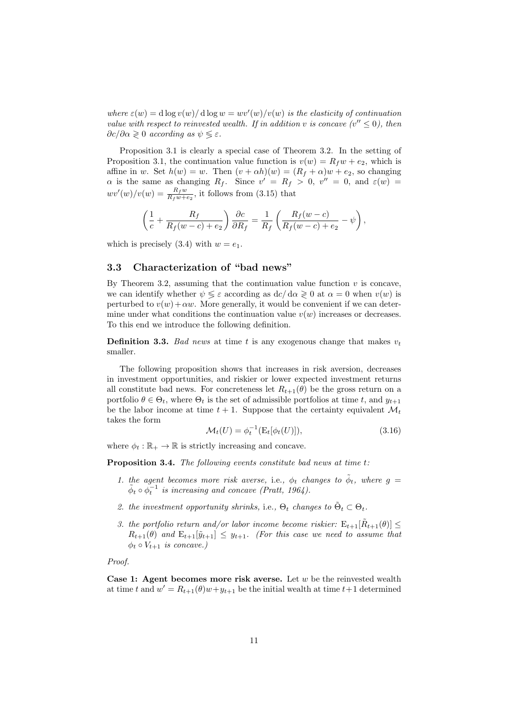where  $\varepsilon(w) = d \log v(w) / d \log w = wv'(w) / v(w)$  is the elasticity of continuation value with respect to reinvested wealth. If in addition v is concave  $(v'' \leq 0)$ , then  $\partial c/\partial \alpha \geqslant 0$  according as  $\psi \leqslant \varepsilon$ .

Proposition 3.1 is clearly a special case of Theorem 3.2. In the setting of Proposition 3.1, the continuation value function is  $v(w) = R_f w + e_2$ , which is affine in w. Set  $h(w) = w$ . Then  $(v + \alpha h)(w) = (R_f + \alpha)w + e_2$ , so changing  $\alpha$  is the same as changing  $R_f$ . Since  $v' = R_f > 0$ ,  $v'' = 0$ , and  $\varepsilon(w) =$  $wv'(w)/v(w) = \frac{R_f w}{R_f w + e_2}$ , it follows from (3.15) that

$$
\left(\frac{1}{c} + \frac{R_f}{R_f(w-c) + e_2}\right) \frac{\partial c}{\partial R_f} = \frac{1}{R_f} \left(\frac{R_f(w-c)}{R_f(w-c) + e_2} - \psi\right),\,
$$

which is precisely (3.4) with  $w = e_1$ .

#### 3.3 Characterization of "bad news"

By Theorem 3.2, assuming that the continuation value function  $v$  is concave, we can identify whether  $\psi \leq \varepsilon$  according as  $dc/d\alpha \geq 0$  at  $\alpha = 0$  when  $v(w)$  is perturbed to  $v(w) + \alpha w$ . More generally, it would be convenient if we can determine under what conditions the continuation value  $v(w)$  increases or decreases. To this end we introduce the following definition.

**Definition 3.3.** Bad news at time t is any exogenous change that makes  $v_t$ smaller.

The following proposition shows that increases in risk aversion, decreases in investment opportunities, and riskier or lower expected investment returns all constitute bad news. For concreteness let  $R_{t+1}(\theta)$  be the gross return on a portfolio  $\theta \in \Theta_t$ , where  $\Theta_t$  is the set of admissible portfolios at time t, and  $y_{t+1}$ be the labor income at time  $t + 1$ . Suppose that the certainty equivalent  $\mathcal{M}_t$ takes the form

$$
\mathcal{M}_t(U) = \phi_t^{-1}(\mathcal{E}_t[\phi_t(U)]),\tag{3.16}
$$

where  $\phi_t : \mathbb{R}_+ \to \mathbb{R}$  is strictly increasing and concave.

Proposition 3.4. The following events constitute bad news at time t:

- 1. the agent becomes more risk averse, i.e.,  $\phi_t$  changes to  $\tilde{\phi}_t$ , where  $g =$  $\tilde{\phi}_t \circ \phi_t^{-1}$  is increasing and concave (Pratt, 1964).
- 2. the investment opportunity shrinks, i.e.,  $\Theta_t$  changes to  $\tilde{\Theta}_t \subset \Theta_t$ .
- 3. the portfolio return and/or labor income become riskier:  $E_{t+1}[\tilde{R}_{t+1}(\theta)] \leq$  $R_{t+1}(\theta)$  and  $E_{t+1}[\tilde{y}_{t+1}] \leq y_{t+1}$ . (For this case we need to assume that  $\phi_t \circ V_{t+1}$  is concave.)

Proof.

Case 1: Agent becomes more risk averse. Let  $w$  be the reinvested wealth at time t and  $w' = R_{t+1}(\theta)w + y_{t+1}$  be the initial wealth at time  $t+1$  determined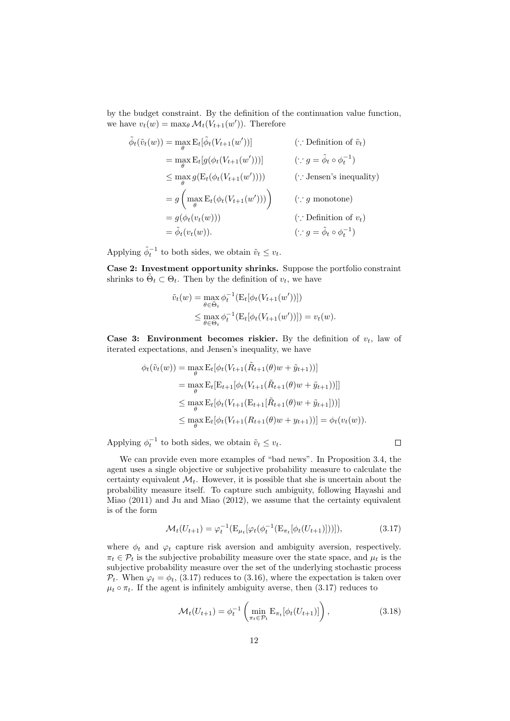by the budget constraint. By the definition of the continuation value function, we have  $v_t(w) = \max_{\theta} \mathcal{M}_t(V_{t+1}(w'))$ . Therefore

$$
\tilde{\phi}_t(\tilde{v}_t(w)) = \max_{\theta} \mathcal{E}_t[\tilde{\phi}_t(V_{t+1}(w'))]
$$
( $\because$  Definition of  $\tilde{v}_t$ )  
\n
$$
= \max_{\theta} \mathcal{E}_t[g(\phi_t(V_{t+1}(w')))]
$$
( $\because g = \tilde{\phi}_t \circ \phi_t^{-1}$ )  
\n
$$
\leq \max_{\theta} g(\mathcal{E}_t(\phi_t(V_{t+1}(w'))))
$$
( $\because$  Jensen's inequality)  
\n
$$
= g\left(\max_{\theta} \mathcal{E}_t(\phi_t(V_{t+1}(w')))\right)
$$
( $\because g$  monotone)  
\n
$$
= g(\phi_t(v_t(w)))
$$
( $\because$  Definition of  $v_t$ )  
\n
$$
= \tilde{\phi}_t(v_t(w)).
$$
( $\because g = \tilde{\phi}_t \circ \phi_t^{-1}$ )

Applying  $\tilde{\phi}_t^{-1}$  to both sides, we obtain  $\tilde{v}_t \leq v_t$ .

Case 2: Investment opportunity shrinks. Suppose the portfolio constraint shrinks to  $\tilde{\Theta}_t \subset \Theta_t$ . Then by the definition of  $v_t$ , we have

$$
\tilde{v}_t(w) = \max_{\theta \in \tilde{\Theta}_t} \phi_t^{-1} \big( \mathbb{E}_t[\phi_t(V_{t+1}(w'))] \big) \leq \max_{\theta \in \Theta_t} \phi_t^{-1} \big( \mathbb{E}_t[\phi_t(V_{t+1}(w'))] \big) = v_t(w).
$$

**Case 3: Environment becomes riskier.** By the definition of  $v_t$ , law of iterated expectations, and Jensen's inequality, we have

$$
\phi_t(\tilde{v}_t(w)) = \max_{\theta} \mathcal{E}_t[\phi_t(V_{t+1}(\tilde{R}_{t+1}(\theta)w + \tilde{y}_{t+1}))]
$$
  
\n
$$
= \max_{\theta} \mathcal{E}_t[\mathcal{E}_{t+1}[\phi_t(V_{t+1}(\tilde{R}_{t+1}(\theta)w + \tilde{y}_{t+1}))]]
$$
  
\n
$$
\leq \max_{\theta} \mathcal{E}_t[\phi_t(V_{t+1}(\mathcal{E}_{t+1}[\tilde{R}_{t+1}(\theta)w + \tilde{y}_{t+1}]))]
$$
  
\n
$$
\leq \max_{\theta} \mathcal{E}_t[\phi_t(V_{t+1}(R_{t+1}(\theta)w + y_{t+1}))] = \phi_t(v_t(w)).
$$

Applying  $\phi_t^{-1}$  to both sides, we obtain  $\tilde{v}_t \leq v_t$ .

We can provide even more examples of "bad news". In Proposition 3.4, the agent uses a single objective or subjective probability measure to calculate the certainty equivalent  $\mathcal{M}_t$ . However, it is possible that she is uncertain about the probability measure itself. To capture such ambiguity, following Hayashi and Miao (2011) and Ju and Miao (2012), we assume that the certainty equivalent is of the form

$$
\mathcal{M}_t(U_{t+1}) = \varphi_t^{-1}(\mathcal{E}_{\mu_t}[\varphi_t(\phi_t^{-1}(\mathcal{E}_{\pi_t}[\phi_t(U_{t+1}))]))],\tag{3.17}
$$

 $\Box$ 

where  $\phi_t$  and  $\varphi_t$  capture risk aversion and ambiguity aversion, respectively.  $\pi_t \in \mathcal{P}_t$  is the subjective probability measure over the state space, and  $\mu_t$  is the subjective probability measure over the set of the underlying stochastic process  $P_t$ . When  $\varphi_t = \phi_t$ , (3.17) reduces to (3.16), where the expectation is taken over  $\mu_t \circ \pi_t$ . If the agent is infinitely ambiguity averse, then (3.17) reduces to

$$
\mathcal{M}_t(U_{t+1}) = \phi_t^{-1} \left( \min_{\pi_t \in \mathcal{P}_t} \mathbb{E}_{\pi_t}[\phi_t(U_{t+1})] \right), \tag{3.18}
$$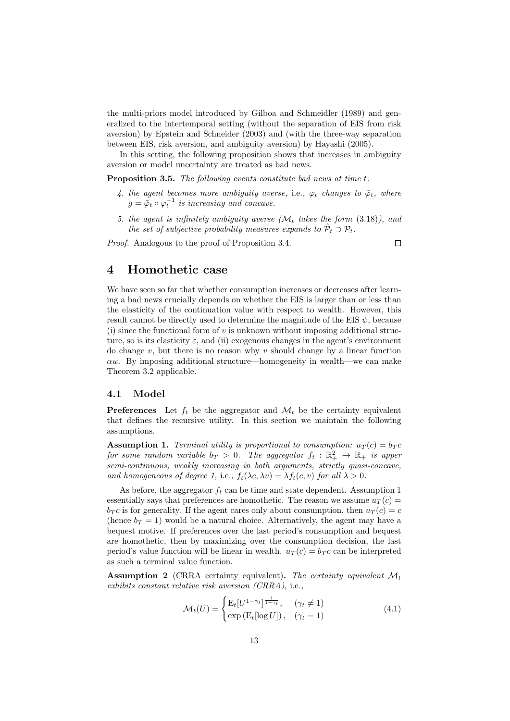the multi-priors model introduced by Gilboa and Schmeidler (1989) and generalized to the intertemporal setting (without the separation of EIS from risk aversion) by Epstein and Schneider (2003) and (with the three-way separation between EIS, risk aversion, and ambiguity aversion) by Hayashi (2005).

In this setting, the following proposition shows that increases in ambiguity aversion or model uncertainty are treated as bad news.

Proposition 3.5. The following events constitute bad news at time t:

- 4. the agent becomes more ambiguity averse, i.e.,  $\varphi_t$  changes to  $\tilde{\varphi}_t$ , where  $g = \tilde{\varphi}_t \circ \varphi_t^{-1}$  is increasing and concave.
- 5. the agent is infinitely ambiguity averse  $(\mathcal{M}_t)$  takes the form (3.18)), and the set of subjective probability measures expands to  $\tilde{\mathcal{P}}_t \supset \mathcal{P}_t$ .

Proof. Analogous to the proof of Proposition 3.4.

 $\Box$ 

## 4 Homothetic case

We have seen so far that whether consumption increases or decreases after learning a bad news crucially depends on whether the EIS is larger than or less than the elasticity of the continuation value with respect to wealth. However, this result cannot be directly used to determine the magnitude of the EIS  $\psi$ , because (i) since the functional form of v is unknown without imposing additional structure, so is its elasticity  $\varepsilon$ , and (ii) exogenous changes in the agent's environment do change  $v$ , but there is no reason why  $v$  should change by a linear function  $\alpha w$ . By imposing additional structure—homogeneity in wealth—we can make Theorem 3.2 applicable.

#### 4.1 Model

**Preferences** Let  $f_t$  be the aggregator and  $\mathcal{M}_t$  be the certainty equivalent that defines the recursive utility. In this section we maintain the following assumptions.

**Assumption 1.** Terminal utility is proportional to consumption:  $u_T(c) = b_T c$ for some random variable  $b_T > 0$ . The aggregator  $f_t : \mathbb{R}_+^2 \to \mathbb{R}_+$  is upper semi-continuous, weakly increasing in both arguments, strictly quasi-concave, and homogeneous of degree 1, i.e.,  $f_t(\lambda c, \lambda v) = \lambda f_t(c, v)$  for all  $\lambda > 0$ .

As before, the aggregator  $f_t$  can be time and state dependent. Assumption 1 essentially says that preferences are homothetic. The reason we assume  $u_T(c)$  =  $b_T c$  is for generality. If the agent cares only about consumption, then  $u_T (c) = c$ (hence  $b_T = 1$ ) would be a natural choice. Alternatively, the agent may have a bequest motive. If preferences over the last period's consumption and bequest are homothetic, then by maximizing over the consumption decision, the last period's value function will be linear in wealth.  $u_T(c) = b_T c$  can be interpreted as such a terminal value function.

**Assumption 2** (CRRA certainty equivalent). The certainty equivalent  $\mathcal{M}_t$ exhibits constant relative risk aversion (CRRA), i.e.,

$$
\mathcal{M}_t(U) = \begin{cases} \mathcal{E}_t[U^{1-\gamma_t}]^{\frac{1}{1-\gamma_t}}, & (\gamma_t \neq 1) \\ \exp\left(\mathcal{E}_t[\log U]\right), & (\gamma_t = 1) \end{cases}
$$
(4.1)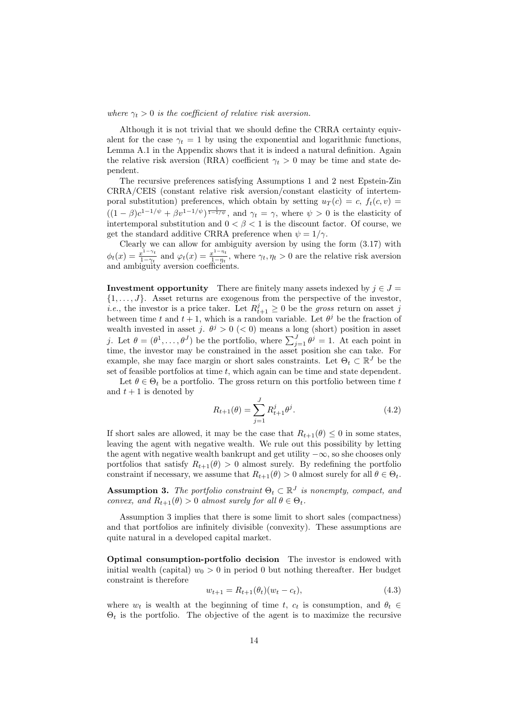where  $\gamma_t > 0$  is the coefficient of relative risk aversion.

Although it is not trivial that we should define the CRRA certainty equivalent for the case  $\gamma_t = 1$  by using the exponential and logarithmic functions, Lemma A.1 in the Appendix shows that it is indeed a natural definition. Again the relative risk aversion (RRA) coefficient  $\gamma_t > 0$  may be time and state dependent.

The recursive preferences satisfying Assumptions 1 and 2 nest Epstein-Zin CRRA/CEIS (constant relative risk aversion/constant elasticity of intertemporal substitution) preferences, which obtain by setting  $u_T(c) = c$ ,  $f_t(c, v) = c$  $((1 - \beta)c^{1-1/\psi} + \beta v^{1-1/\psi})^{\frac{1}{1-1/\psi}},$  and  $\gamma_t = \gamma$ , where  $\psi > 0$  is the elasticity of intertemporal substitution and  $0 < \beta < 1$  is the discount factor. Of course, we get the standard additive CRRA preference when  $\psi = 1/\gamma$ .

Clearly we can allow for ambiguity aversion by using the form (3.17) with  $\phi_t(x) = \frac{x^{1-\gamma_t}}{1-\gamma_t}$  $rac{x^{1-\gamma_t}}{1-\gamma_t}$  and  $\varphi_t(x) = \frac{x^{1-\eta_t}}{1-\eta_t}$  $\frac{x-\eta_t}{1-\eta_t}$ , where  $\gamma_t, \eta_t > 0$  are the relative risk aversion and ambiguity aversion coefficients.

**Investment opportunity** There are finitely many assets indexed by  $j \in J =$  $\{1, \ldots, J\}$ . Asset returns are exogenous from the perspective of the investor, *i.e.*, the investor is a price taker. Let  $R_{t+1}^j \geq 0$  be the gross return on asset j between time t and  $t + 1$ , which is a random variable. Let  $\theta^j$  be the fraction of wealth invested in asset j.  $\theta^j > 0$  (< 0) means a long (short) position in asset j. Let  $\theta = (\theta^1, \dots, \theta^J)$  be the portfolio, where  $\sum_{j=1}^J \theta^j = 1$ . At each point in time, the investor may be constrained in the asset position she can take. For example, she may face margin or short sales constraints. Let  $\Theta_t \subset \mathbb{R}^J$  be the set of feasible portfolios at time  $t$ , which again can be time and state dependent.

Let  $\theta \in \Theta_t$  be a portfolio. The gross return on this portfolio between time t and  $t + 1$  is denoted by

$$
R_{t+1}(\theta) = \sum_{j=1}^{J} R_{t+1}^{j} \theta^{j}.
$$
\n(4.2)

If short sales are allowed, it may be the case that  $R_{t+1}(\theta) \leq 0$  in some states, leaving the agent with negative wealth. We rule out this possibility by letting the agent with negative wealth bankrupt and get utility  $-\infty$ , so she chooses only portfolios that satisfy  $R_{t+1}(\theta) > 0$  almost surely. By redefining the portfolio constraint if necessary, we assume that  $R_{t+1}(\theta) > 0$  almost surely for all  $\theta \in \Theta_t$ .

**Assumption 3.** The portfolio constraint  $\Theta_t \subset \mathbb{R}^J$  is nonempty, compact, and convex, and  $R_{t+1}(\theta) > 0$  almost surely for all  $\theta \in \Theta_t$ .

Assumption 3 implies that there is some limit to short sales (compactness) and that portfolios are infinitely divisible (convexity). These assumptions are quite natural in a developed capital market.

Optimal consumption-portfolio decision The investor is endowed with initial wealth (capital)  $w_0 > 0$  in period 0 but nothing thereafter. Her budget constraint is therefore

$$
w_{t+1} = R_{t+1}(\theta_t)(w_t - c_t),
$$
\n(4.3)

where  $w_t$  is wealth at the beginning of time t,  $c_t$  is consumption, and  $\theta_t \in$  $\Theta_t$  is the portfolio. The objective of the agent is to maximize the recursive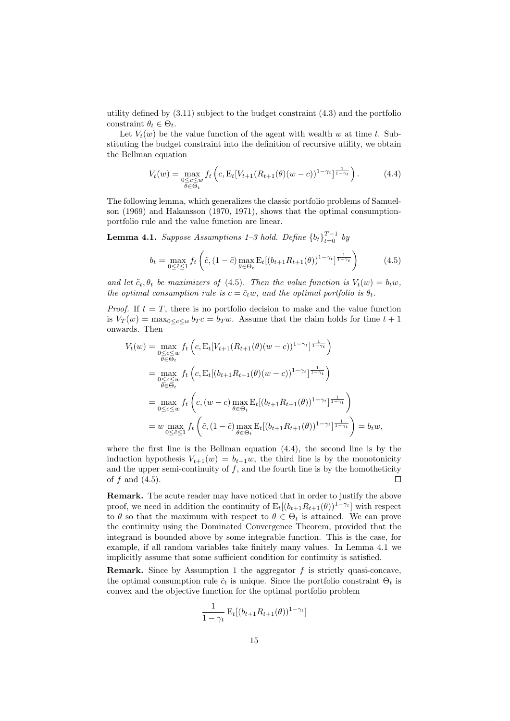utility defined by (3.11) subject to the budget constraint (4.3) and the portfolio constraint  $\theta_t \in \Theta_t$ .

Let  $V_t(w)$  be the value function of the agent with wealth w at time t. Substituting the budget constraint into the definition of recursive utility, we obtain the Bellman equation

$$
V_t(w) = \max_{\substack{0 \le c \le w \\ \theta \in \Theta_t}} f_t \left( c, \mathcal{E}_t[V_{t+1}(R_{t+1}(\theta)(w-c))^{1-\gamma_t}]^{\frac{1}{1-\gamma_t}} \right). \tag{4.4}
$$

The following lemma, which generalizes the classic portfolio problems of Samuelson (1969) and Hakansson (1970, 1971), shows that the optimal consumptionportfolio rule and the value function are linear.

**Lemma 4.1.** Suppose Assumptions  $1-3$  hold. Define  ${b_t}_{t=0}^{T-1}$  by

$$
b_t = \max_{0 \le \tilde{c} \le 1} f_t \left( \tilde{c}, (1 - \tilde{c}) \max_{\theta \in \Theta_t} \mathcal{E}_t [(b_{t+1} R_{t+1}(\theta))^{1 - \gamma_t}]^{\frac{1}{1 - \gamma_t}} \right) \tag{4.5}
$$

and let  $\tilde{c}_t$ ,  $\theta_t$  be maximizers of (4.5). Then the value function is  $V_t(w) = b_t w$ , the optimal consumption rule is  $c = \tilde{c}_t w$ , and the optimal portfolio is  $\theta_t$ .

*Proof.* If  $t = T$ , there is no portfolio decision to make and the value function is  $V_T(w) = \max_{0 \leq c \leq w} b_T c = b_T w$ . Assume that the claim holds for time  $t + 1$ onwards. Then

$$
V_t(w) = \max_{\substack{0 \leq c \leq w \\ \theta \in \Theta_t}} f_t \left( c, \mathcal{E}_t [V_{t+1}(R_{t+1}(\theta)(w-c))^{1-\gamma_t}]^{\frac{1}{1-\gamma_t}} \right)
$$
  
\n
$$
= \max_{\substack{0 \leq c \leq w \\ \theta \in \Theta_t}} f_t \left( c, \mathcal{E}_t [(b_{t+1}R_{t+1}(\theta)(w-c))^{1-\gamma_t}]^{\frac{1}{1-\gamma_t}} \right)
$$
  
\n
$$
= \max_{0 \leq c \leq w} f_t \left( c, (w-c) \max_{\theta \in \Theta_t} \mathcal{E}_t [(b_{t+1}R_{t+1}(\theta))^{1-\gamma_t}]^{\frac{1}{1-\gamma_t}} \right)
$$
  
\n
$$
= w \max_{0 \leq \tilde{c} \leq 1} f_t \left( \tilde{c}, (1-\tilde{c}) \max_{\theta \in \Theta_t} \mathcal{E}_t [(b_{t+1}R_{t+1}(\theta))^{1-\gamma_t}]^{\frac{1}{1-\gamma_t}} \right) = b_t w,
$$

where the first line is the Bellman equation  $(4.4)$ , the second line is by the induction hypothesis  $V_{t+1}(w) = b_{t+1}w$ , the third line is by the monotonicity and the upper semi-continuity of  $f$ , and the fourth line is by the homotheticity of  $f$  and  $(4.5)$ .  $\Box$ 

Remark. The acute reader may have noticed that in order to justify the above proof, we need in addition the continuity of  $E_t[(b_{t+1}R_{t+1}(\theta))^{1-\gamma_t}]$  with respect to  $\theta$  so that the maximum with respect to  $\theta \in \Theta_t$  is attained. We can prove the continuity using the Dominated Convergence Theorem, provided that the integrand is bounded above by some integrable function. This is the case, for example, if all random variables take finitely many values. In Lemma 4.1 we implicitly assume that some sufficient condition for continuity is satisfied.

**Remark.** Since by Assumption 1 the aggregator  $f$  is strictly quasi-concave, the optimal consumption rule  $\tilde{c}_t$  is unique. Since the portfolio constraint  $\Theta_t$  is convex and the objective function for the optimal portfolio problem

$$
\frac{1}{1 - \gamma_t} \mathbf{E}_t[(b_{t+1}R_{t+1}(\theta))^{1 - \gamma_t}]
$$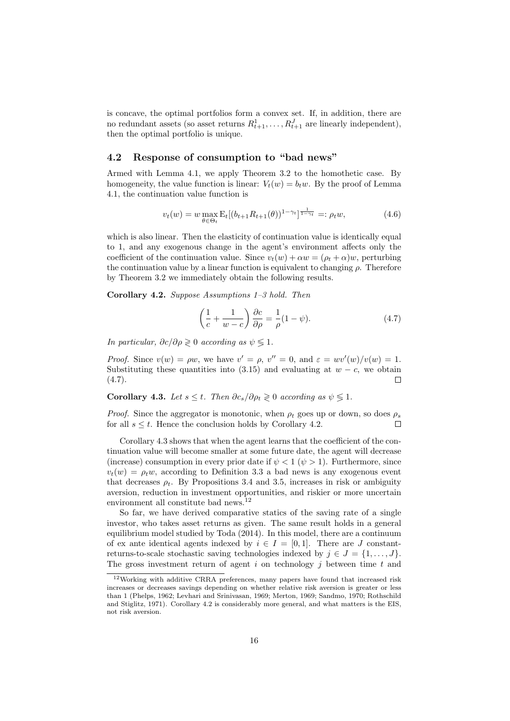is concave, the optimal portfolios form a convex set. If, in addition, there are no redundant assets (so asset returns  $R_{t+1}^1, \ldots, R_{t+1}^J$  are linearly independent), then the optimal portfolio is unique.

#### 4.2 Response of consumption to "bad news"

Armed with Lemma 4.1, we apply Theorem 3.2 to the homothetic case. By homogeneity, the value function is linear:  $V_t(w) = b_t w$ . By the proof of Lemma 4.1, the continuation value function is

$$
v_t(w) = w \max_{\theta \in \Theta_t} \mathcal{E}_t[(b_{t+1}R_{t+1}(\theta))^{1-\gamma_t}]^{\frac{1}{1-\gamma_t}} =: \rho_t w,
$$
\n(4.6)

which is also linear. Then the elasticity of continuation value is identically equal to 1, and any exogenous change in the agent's environment affects only the coefficient of the continuation value. Since  $v_t(w) + \alpha w = (\rho_t + \alpha)w$ , perturbing the continuation value by a linear function is equivalent to changing  $\rho$ . Therefore by Theorem 3.2 we immediately obtain the following results.

Corollary 4.2. Suppose Assumptions 1–3 hold. Then

$$
\left(\frac{1}{c} + \frac{1}{w - c}\right)\frac{\partial c}{\partial \rho} = \frac{1}{\rho}(1 - \psi). \tag{4.7}
$$

In particular,  $\partial c/\partial \rho \geq 0$  according as  $\psi \leq 1$ .

*Proof.* Since  $v(w) = \rho w$ , we have  $v' = \rho$ ,  $v'' = 0$ , and  $\varepsilon = w v'(w)/v(w) = 1$ . Substituting these quantities into (3.15) and evaluating at  $w - c$ , we obtain  $(4.7).$  $\Box$ 

Corollary 4.3. Let  $s \leq t$ . Then  $\partial c_s / \partial \rho_t \geq 0$  according as  $\psi \leq 1$ .

*Proof.* Since the aggregator is monotonic, when  $\rho_t$  goes up or down, so does  $\rho_s$ for all  $s \leq t$ . Hence the conclusion holds by Corollary 4.2.  $\Box$ 

Corollary 4.3 shows that when the agent learns that the coefficient of the continuation value will become smaller at some future date, the agent will decrease (increase) consumption in every prior date if  $\psi < 1$  ( $\psi > 1$ ). Furthermore, since  $v_t(w) = \rho_t w$ , according to Definition 3.3 a bad news is any exogenous event that decreases  $\rho_t$ . By Propositions 3.4 and 3.5, increases in risk or ambiguity aversion, reduction in investment opportunities, and riskier or more uncertain environment all constitute bad news.<sup>12</sup>

So far, we have derived comparative statics of the saving rate of a single investor, who takes asset returns as given. The same result holds in a general equilibrium model studied by Toda (2014). In this model, there are a continuum of ex ante identical agents indexed by  $i \in I = [0, 1]$ . There are J constantreturns-to-scale stochastic saving technologies indexed by  $j \in J = \{1, \ldots, J\}$ . The gross investment return of agent  $i$  on technology  $j$  between time  $t$  and

<sup>12</sup>Working with additive CRRA preferences, many papers have found that increased risk increases or decreases savings depending on whether relative risk aversion is greater or less than 1 (Phelps, 1962; Levhari and Srinivasan, 1969; Merton, 1969; Sandmo, 1970; Rothschild and Stiglitz, 1971). Corollary 4.2 is considerably more general, and what matters is the EIS, not risk aversion.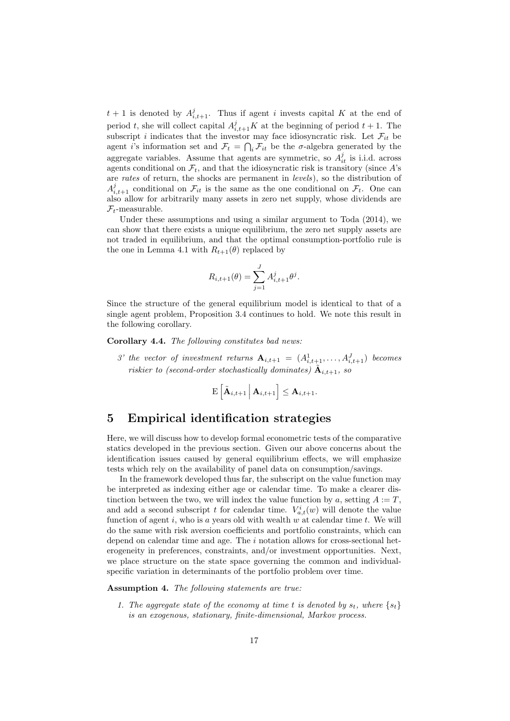$t+1$  is denoted by  $A^j_{i,t+1}$ . Thus if agent i invests capital K at the end of period t, she will collect capital  $A_{i,t+1}^j K$  at the beginning of period  $t + 1$ . The subscript i indicates that the investor may face idiosyncratic risk. Let  $\mathcal{F}_{it}$  be agent *i*'s information set and  $\mathcal{F}_t = \bigcap_i \mathcal{F}_{it}$  be the  $\sigma$ -algebra generated by the aggregate variables. Assume that agents are symmetric, so  $A_{it}^j$  is i.i.d. across agents conditional on  $\mathcal{F}_t$ , and that the idiosyncratic risk is transitory (since  $A$ 's are rates of return, the shocks are permanent in levels), so the distribution of  $A_{i,t+1}^j$  conditional on  $\mathcal{F}_{it}$  is the same as the one conditional on  $\mathcal{F}_t$ . One can also allow for arbitrarily many assets in zero net supply, whose dividends are  $\mathcal{F}_t$ -measurable.

Under these assumptions and using a similar argument to Toda (2014), we can show that there exists a unique equilibrium, the zero net supply assets are not traded in equilibrium, and that the optimal consumption-portfolio rule is the one in Lemma 4.1 with  $R_{t+1}(\theta)$  replaced by

$$
R_{i,t+1}(\theta) = \sum_{j=1}^{J} A_{i,t+1}^{j} \theta^{j}.
$$

Since the structure of the general equilibrium model is identical to that of a single agent problem, Proposition 3.4 continues to hold. We note this result in the following corollary.

Corollary 4.4. The following constitutes bad news:

3' the vector of investment returns  $A_{i,t+1} = (A_{i,t+1}^1, \ldots, A_{i,t+1}^J)$  becomes riskier to (second-order stochastically dominates)  $\tilde{A}_{i,t+1}$ , so

$$
\mathrm{E}\left[\tilde{\mathbf{A}}_{i,t+1}\,\Big|\,\mathbf{A}_{i,t+1}\right]\leq \mathbf{A}_{i,t+1}.
$$

## 5 Empirical identification strategies

Here, we will discuss how to develop formal econometric tests of the comparative statics developed in the previous section. Given our above concerns about the identification issues caused by general equilibrium effects, we will emphasize tests which rely on the availability of panel data on consumption/savings.

In the framework developed thus far, the subscript on the value function may be interpreted as indexing either age or calendar time. To make a clearer distinction between the two, we will index the value function by  $a$ , setting  $A := T$ , and add a second subscript t for calendar time.  $V_{a,t}^i(w)$  will denote the value function of agent i, who is a years old with wealth  $w$  at calendar time t. We will do the same with risk aversion coefficients and portfolio constraints, which can depend on calendar time and age. The  $i$  notation allows for cross-sectional heterogeneity in preferences, constraints, and/or investment opportunities. Next, we place structure on the state space governing the common and individualspecific variation in determinants of the portfolio problem over time.

Assumption 4. The following statements are true:

1. The aggregate state of the economy at time t is denoted by  $s_t$ , where  $\{s_t\}$ is an exogenous, stationary, finite-dimensional, Markov process.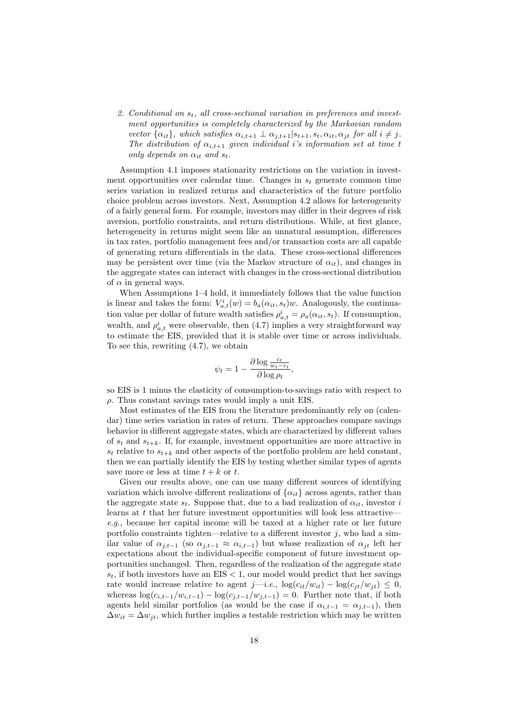2. Conditional on  $s_t$ , all cross-sectional variation in preferences and investment opportunities is completely characterized by the Markovian random vector  $\{\alpha_{it}\}\$ , which satisfies  $\alpha_{i,t+1} \perp \alpha_{j,t+1} | s_{t+1}, s_t, \alpha_{it}, \alpha_{jt}$  for all  $i \neq j$ . The distribution of  $\alpha_{i,t+1}$  given individual i's information set at time t only depends on  $\alpha_{it}$  and  $s_t$ .

Assumption 4.1 imposes stationarity restrictions on the variation in investment opportunities over calendar time. Changes in  $s_t$  generate common time series variation in realized returns and characteristics of the future portfolio choice problem across investors. Next, Assumption 4.2 allows for heterogeneity of a fairly general form. For example, investors may differ in their degrees of risk aversion, portfolio constraints, and return distributions. While, at first glance, heterogeneity in returns might seem like an unnatural assumption, differences in tax rates, portfolio management fees and/or transaction costs are all capable of generating return differentials in the data. These cross-sectional differences may be persistent over time (via the Markov structure of  $\alpha_{it}$ ), and changes in the aggregate states can interact with changes in the cross-sectional distribution of  $\alpha$  in general ways.

When Assumptions 1–4 hold, it immediately follows that the value function is linear and takes the form:  $V_{a,t}^{i}(w) = b_a(\alpha_{it}, s_t)w$ . Analogously, the continuation value per dollar of future wealth satisfies  $\rho_{a,t}^i = \rho_a(\alpha_{it}, s_t)$ . If consumption, wealth, and  $\rho_{a,t}^{i}$  were observable, then (4.7) implies a very straightforward way to estimate the EIS, provided that it is stable over time or across individuals. To see this, rewriting (4.7), we obtain

$$
\psi_t = 1 - \frac{\partial \log \frac{c_t}{w_t - c_t}}{\partial \log \rho_t},
$$

so EIS is 1 minus the elasticity of consumption-to-savings ratio with respect to  $\rho$ . Thus constant savings rates would imply a unit EIS.

Most estimates of the EIS from the literature predominantly rely on (calendar) time series variation in rates of return. These approaches compare savings behavior in different aggregate states, which are characterized by different values of  $s_t$  and  $s_{t+k}$ . If, for example, investment opportunities are more attractive in  $s_t$  relative to  $s_{t+k}$  and other aspects of the portfolio problem are held constant, then we can partially identify the EIS by testing whether similar types of agents save more or less at time  $t + k$  or t.

Given our results above, one can use many different sources of identifying variation which involve different realizations of  $\{\alpha_{it}\}\$  across agents, rather than the aggregate state  $s_t$ . Suppose that, due to a bad realization of  $\alpha_{it}$ , investor i learns at  $t$  that her future investment opportunities will look less attractive e.g., because her capital income will be taxed at a higher rate or her future portfolio constraints tighten—relative to a different investor  $j$ , who had a similar value of  $\alpha_{j,t-1}$  (so  $\alpha_{j,t-1} \approx \alpha_{i,t-1}$ ) but whose realization of  $\alpha_{jt}$  left her expectations about the individual-specific component of future investment opportunities unchanged. Then, regardless of the realization of the aggregate state  $s_t$ , if both investors have an EIS  $< 1$ , our model would predict that her savings rate would increase relative to agent j—i.e.,  $\log(c_{it}/w_{it}) - \log(c_{jt}/w_{it}) \leq 0$ , whereas  $\log(c_{i,t-1}/w_{i,t-1}) - \log(c_{i,t-1}/w_{i,t-1}) = 0$ . Further note that, if both agents held similar portfolios (as would be the case if  $\alpha_{i,t-1} = \alpha_{i,t-1}$ ), then  $\Delta w_{it} = \Delta w_{it}$ , which further implies a testable restriction which may be written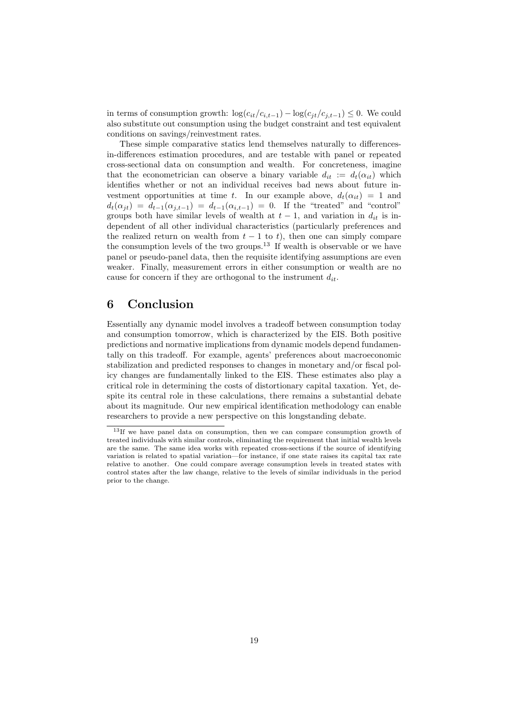in terms of consumption growth:  $\log(c_{it}/c_{i,t-1}) - \log(c_{jt}/c_{j,t-1}) \leq 0$ . We could also substitute out consumption using the budget constraint and test equivalent conditions on savings/reinvestment rates.

These simple comparative statics lend themselves naturally to differencesin-differences estimation procedures, and are testable with panel or repeated cross-sectional data on consumption and wealth. For concreteness, imagine that the econometrician can observe a binary variable  $d_{it} := d_t(\alpha_{it})$  which identifies whether or not an individual receives bad news about future investment opportunities at time t. In our example above,  $d_t(\alpha_{it}) = 1$  and  $d_t(\alpha_{jt}) = d_{t-1}(\alpha_{j,t-1}) = d_{t-1}(\alpha_{i,t-1}) = 0$ . If the "treated" and "control" groups both have similar levels of wealth at  $t-1$ , and variation in  $d_{it}$  is independent of all other individual characteristics (particularly preferences and the realized return on wealth from  $t - 1$  to t), then one can simply compare the consumption levels of the two groups.<sup>13</sup> If wealth is observable or we have panel or pseudo-panel data, then the requisite identifying assumptions are even weaker. Finally, measurement errors in either consumption or wealth are no cause for concern if they are orthogonal to the instrument  $d_{it}$ .

## 6 Conclusion

Essentially any dynamic model involves a tradeoff between consumption today and consumption tomorrow, which is characterized by the EIS. Both positive predictions and normative implications from dynamic models depend fundamentally on this tradeoff. For example, agents' preferences about macroeconomic stabilization and predicted responses to changes in monetary and/or fiscal policy changes are fundamentally linked to the EIS. These estimates also play a critical role in determining the costs of distortionary capital taxation. Yet, despite its central role in these calculations, there remains a substantial debate about its magnitude. Our new empirical identification methodology can enable researchers to provide a new perspective on this longstanding debate.

<sup>&</sup>lt;sup>13</sup>If we have panel data on consumption, then we can compare consumption growth of treated individuals with similar controls, eliminating the requirement that initial wealth levels are the same. The same idea works with repeated cross-sections if the source of identifying variation is related to spatial variation—for instance, if one state raises its capital tax rate relative to another. One could compare average consumption levels in treated states with control states after the law change, relative to the levels of similar individuals in the period prior to the change.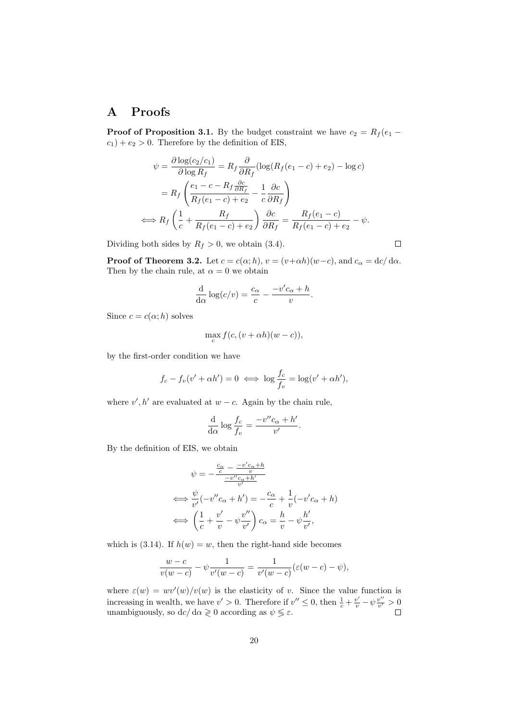## A Proofs

**Proof of Proposition 3.1.** By the budget constraint we have  $c_2 = R_f (e_1$  $c_1$  +  $e_2$  > 0. Therefore by the definition of EIS,

$$
\psi = \frac{\partial \log(c_2/c_1)}{\partial \log R_f} = R_f \frac{\partial}{\partial R_f} (\log(R_f(e_1 - c) + e_2) - \log c)
$$

$$
= R_f \left( \frac{e_1 - c - R_f \frac{\partial c}{\partial R_f}}{R_f(e_1 - c) + e_2} - \frac{1}{c} \frac{\partial c}{\partial R_f} \right)
$$

$$
\iff R_f \left( \frac{1}{c} + \frac{R_f}{R_f(e_1 - c) + e_2} \right) \frac{\partial c}{\partial R_f} = \frac{R_f(e_1 - c)}{R_f(e_1 - c) + e_2} - \psi.
$$

Dividing both sides by  $R_f > 0$ , we obtain (3.4).

**Proof of Theorem 3.2.** Let  $c = c(\alpha; h)$ ,  $v = (v + \alpha h)(w - c)$ , and  $c_{\alpha} = \frac{dc}{d\alpha}$ . Then by the chain rule, at  $\alpha = 0$  we obtain

$$
\frac{\mathrm{d}}{\mathrm{d}\alpha}\log(c/v) = \frac{c_{\alpha}}{c} - \frac{-v'c_{\alpha} + h}{v}.
$$

Since  $c = c(\alpha; h)$  solves

$$
\max_{c} f(c, (v + \alpha h)(w - c)),
$$

by the first-order condition we have

$$
f_c - f_v(v' + \alpha h') = 0 \iff \log \frac{f_c}{f_v} = \log(v' + \alpha h'),
$$

where  $v', h'$  are evaluated at  $w - c$ . Again by the chain rule,

$$
\frac{\mathrm{d}}{\mathrm{d}\alpha}\log\frac{f_c}{f_v} = \frac{-v''c_\alpha + h'}{v'}.
$$

By the definition of EIS, we obtain

$$
\psi = -\frac{\frac{c_{\alpha}}{c} - \frac{-v'c_{\alpha} + h}{v}}{\frac{-v''c_{\alpha} + h'}{v'}}
$$
\n
$$
\iff \frac{\psi}{v'}(-v''c_{\alpha} + h') = -\frac{c_{\alpha}}{c} + \frac{1}{v}(-v'c_{\alpha} + h)
$$
\n
$$
\iff \left(\frac{1}{c} + \frac{v'}{v} - \psi\frac{v''}{v'}\right)c_{\alpha} = \frac{h}{v} - \psi\frac{h'}{v'},
$$

which is (3.14). If  $h(w) = w$ , then the right-hand side becomes

$$
\frac{w-c}{v(w-c)} - \psi \frac{1}{v'(w-c)} = \frac{1}{v'(w-c)} (\varepsilon(w-c) - \psi),
$$

where  $\varepsilon(w) = wv'(w)/v(w)$  is the elasticity of v. Since the value function is increasing in wealth, we have  $v' > 0$ . Therefore if  $v'' \le 0$ , then  $\frac{1}{c} + \frac{v'}{v} - \psi \frac{v''}{v'}$  $\frac{v^{\prime\prime}}{v^{\prime}} > 0$ unambiguously, so  $dc/d\alpha \geq 0$  according as  $\psi \leq \varepsilon$ .

 $\Box$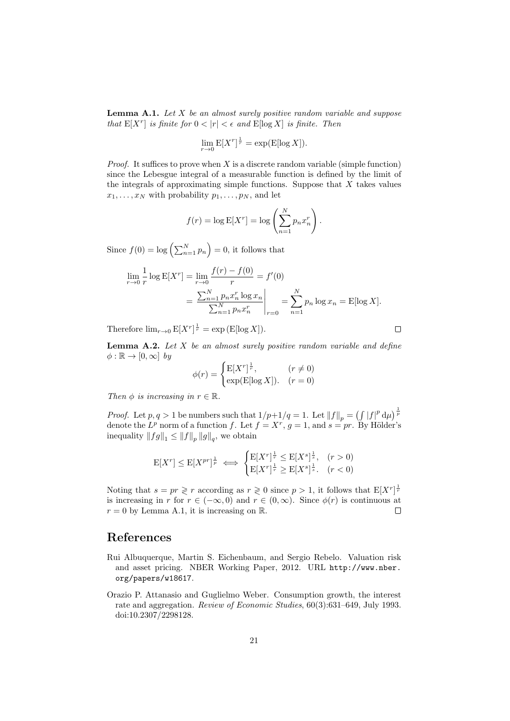**Lemma A.1.** Let  $X$  be an almost surely positive random variable and suppose that  $E[X^r]$  is finite for  $0 < |r| < \epsilon$  and  $E[\log X]$  is finite. Then

$$
\lim_{r \to 0} \mathbb{E}[X^r]^{\frac{1}{r}} = \exp(\mathbb{E}[\log X]).
$$

*Proof.* It suffices to prove when  $X$  is a discrete random variable (simple function) since the Lebesgue integral of a measurable function is defined by the limit of the integrals of approximating simple functions. Suppose that  $X$  takes values  $x_1, \ldots, x_N$  with probability  $p_1, \ldots, p_N$ , and let

$$
f(r) = \log E[X^r] = \log \left(\sum_{n=1}^N p_n x_n^r\right).
$$

Since  $f(0) = \log \left( \sum_{n=1}^{N} p_n \right) = 0$ , it follows that

$$
\lim_{r \to 0} \frac{1}{r} \log E[X^r] = \lim_{r \to 0} \frac{f(r) - f(0)}{r} = f'(0)
$$

$$
= \frac{\sum_{n=1}^{N} p_n x_n^r \log x_n}{\sum_{n=1}^{N} p_n x_n^r} \bigg|_{r=0} = \sum_{n=1}^{N} p_n \log x_n = E[\log X].
$$

Therefore  $\lim_{r\to 0} E[X^r]^{\frac{1}{r}} = \exp(E[\log X]).$ 

**Lemma A.2.** Let  $X$  be an almost surely positive random variable and define  $\phi : \mathbb{R} \to [0, \infty]$  by

$$
\phi(r) = \begin{cases} \mathbb{E}[X^r]^{\frac{1}{r}}, & (r \neq 0) \\ \exp(\mathbb{E}[\log X]). & (r = 0) \end{cases}
$$

Then  $\phi$  is increasing in  $r \in \mathbb{R}$ .

*Proof.* Let  $p, q > 1$  be numbers such that  $1/p+1/q = 1$ . Let  $||f||_p = (\int |f|^p d\mu)^{\frac{1}{p}}$ denote the  $L^p$  norm of a function f. Let  $f = X^r$ ,  $g = 1$ , and  $s = pr$ . By Hölder's inequality  $||fg||_1 \leq ||f||_p ||g||_q$ , we obtain

$$
\mathcal{E}[X^r] \le \mathcal{E}[X^{pr}]^{\frac{1}{p}} \iff \begin{cases} \mathcal{E}[X^r]^{\frac{1}{r}} \le \mathcal{E}[X^s]^{\frac{1}{s}}, & (r > 0) \\ \mathcal{E}[X^r]^{\frac{1}{r}} \ge \mathcal{E}[X^s]^{\frac{1}{s}}. & (r < 0) \end{cases}
$$

Noting that  $s = pr \geq r$  according as  $r \geq 0$  since  $p > 1$ , it follows that  $E[X^r]^{\frac{1}{r}}$ is increasing in r for  $r \in (-\infty, 0)$  and  $r \in (0, \infty)$ . Since  $\phi(r)$  is continuous at  $r = 0$  by Lemma A.1, it is increasing on R.  $\Box$ 

## References

- Rui Albuquerque, Martin S. Eichenbaum, and Sergio Rebelo. Valuation risk and asset pricing. NBER Working Paper, 2012. URL http://www.nber. org/papers/w18617.
- Orazio P. Attanasio and Guglielmo Weber. Consumption growth, the interest rate and aggregation. Review of Economic Studies, 60(3):631–649, July 1993. doi:10.2307/2298128.

 $\Box$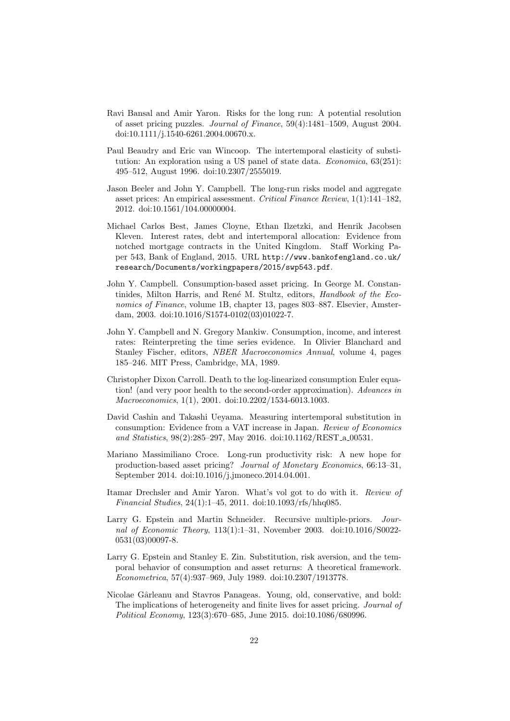- Ravi Bansal and Amir Yaron. Risks for the long run: A potential resolution of asset pricing puzzles. Journal of Finance, 59(4):1481–1509, August 2004. doi:10.1111/j.1540-6261.2004.00670.x.
- Paul Beaudry and Eric van Wincoop. The intertemporal elasticity of substitution: An exploration using a US panel of state data. *Economica*, 63(251): 495–512, August 1996. doi:10.2307/2555019.
- Jason Beeler and John Y. Campbell. The long-run risks model and aggregate asset prices: An empirical assessment. Critical Finance Review, 1(1):141–182, 2012. doi:10.1561/104.00000004.
- Michael Carlos Best, James Cloyne, Ethan Ilzetzki, and Henrik Jacobsen Kleven. Interest rates, debt and intertemporal allocation: Evidence from notched mortgage contracts in the United Kingdom. Staff Working Paper 543, Bank of England, 2015. URL http://www.bankofengland.co.uk/ research/Documents/workingpapers/2015/swp543.pdf.
- John Y. Campbell. Consumption-based asset pricing. In George M. Constantinides, Milton Harris, and René M. Stultz, editors, Handbook of the Economics of Finance, volume 1B, chapter 13, pages 803–887. Elsevier, Amsterdam, 2003. doi:10.1016/S1574-0102(03)01022-7.
- John Y. Campbell and N. Gregory Mankiw. Consumption, income, and interest rates: Reinterpreting the time series evidence. In Olivier Blanchard and Stanley Fischer, editors, NBER Macroeconomics Annual, volume 4, pages 185–246. MIT Press, Cambridge, MA, 1989.
- Christopher Dixon Carroll. Death to the log-linearized consumption Euler equation! (and very poor health to the second-order approximation). Advances in Macroeconomics, 1(1), 2001. doi:10.2202/1534-6013.1003.
- David Cashin and Takashi Ueyama. Measuring intertemporal substitution in consumption: Evidence from a VAT increase in Japan. Review of Economics and Statistics, 98(2):285–297, May 2016. doi:10.1162/REST a 00531.
- Mariano Massimiliano Croce. Long-run productivity risk: A new hope for production-based asset pricing? Journal of Monetary Economics, 66:13–31, September 2014. doi:10.1016/j.jmoneco.2014.04.001.
- Itamar Drechsler and Amir Yaron. What's vol got to do with it. Review of Financial Studies, 24(1):1–45, 2011. doi:10.1093/rfs/hhq085.
- Larry G. Epstein and Martin Schneider. Recursive multiple-priors. Journal of Economic Theory, 113(1):1–31, November 2003. doi:10.1016/S0022- 0531(03)00097-8.
- Larry G. Epstein and Stanley E. Zin. Substitution, risk aversion, and the temporal behavior of consumption and asset returns: A theoretical framework. Econometrica, 57(4):937–969, July 1989. doi:10.2307/1913778.
- Nicolae Gârleanu and Stavros Panageas. Young, old, conservative, and bold: The implications of heterogeneity and finite lives for asset pricing. Journal of Political Economy, 123(3):670–685, June 2015. doi:10.1086/680996.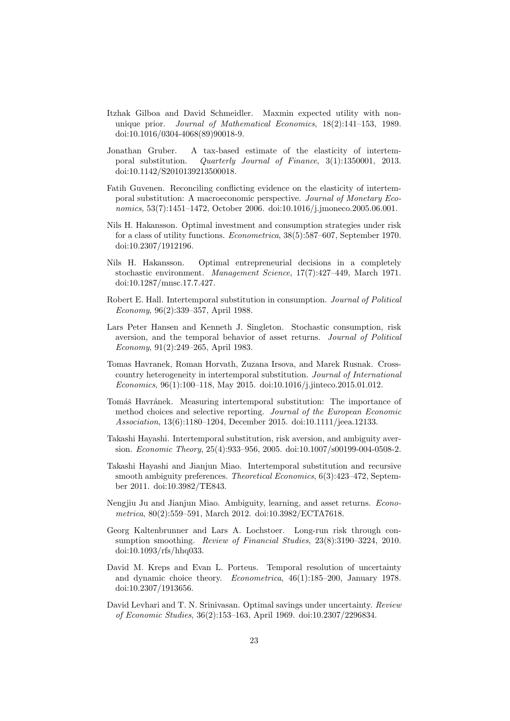- Itzhak Gilboa and David Schmeidler. Maxmin expected utility with nonunique prior. Journal of Mathematical Economics, 18(2):141–153, 1989. doi:10.1016/0304-4068(89)90018-9.
- Jonathan Gruber. A tax-based estimate of the elasticity of intertemporal substitution. Quarterly Journal of Finance, 3(1):1350001, 2013. doi:10.1142/S2010139213500018.
- Fatih Guvenen. Reconciling conflicting evidence on the elasticity of intertemporal substitution: A macroeconomic perspective. Journal of Monetary Economics, 53(7):1451–1472, October 2006. doi:10.1016/j.jmoneco.2005.06.001.
- Nils H. Hakansson. Optimal investment and consumption strategies under risk for a class of utility functions. Econometrica, 38(5):587–607, September 1970. doi:10.2307/1912196.
- Nils H. Hakansson. Optimal entrepreneurial decisions in a completely stochastic environment. Management Science, 17(7):427–449, March 1971. doi:10.1287/mnsc.17.7.427.
- Robert E. Hall. Intertemporal substitution in consumption. *Journal of Political* Economy, 96(2):339–357, April 1988.
- Lars Peter Hansen and Kenneth J. Singleton. Stochastic consumption, risk aversion, and the temporal behavior of asset returns. Journal of Political Economy, 91(2):249–265, April 1983.
- Tomas Havranek, Roman Horvath, Zuzana Irsova, and Marek Rusnak. Crosscountry heterogeneity in intertemporal substitution. Journal of International Economics, 96(1):100–118, May 2015. doi:10.1016/j.jinteco.2015.01.012.
- Tomáš Havránek. Measuring intertemporal substitution: The importance of method choices and selective reporting. Journal of the European Economic Association, 13(6):1180–1204, December 2015. doi:10.1111/jeea.12133.
- Takashi Hayashi. Intertemporal substitution, risk aversion, and ambiguity aversion. Economic Theory, 25(4):933–956, 2005. doi:10.1007/s00199-004-0508-2.
- Takashi Hayashi and Jianjun Miao. Intertemporal substitution and recursive smooth ambiguity preferences. *Theoretical Economics*, 6(3):423-472, September 2011. doi:10.3982/TE843.
- Nengjiu Ju and Jianjun Miao. Ambiguity, learning, and asset returns. Econometrica, 80(2):559–591, March 2012. doi:10.3982/ECTA7618.
- Georg Kaltenbrunner and Lars A. Lochstoer. Long-run risk through consumption smoothing. Review of Financial Studies, 23(8):3190–3224, 2010.  $doi:10.1093/rfs/hhq033.$
- David M. Kreps and Evan L. Porteus. Temporal resolution of uncertainty and dynamic choice theory. Econometrica, 46(1):185–200, January 1978. doi:10.2307/1913656.
- David Levhari and T. N. Srinivasan. Optimal savings under uncertainty. Review of Economic Studies, 36(2):153–163, April 1969. doi:10.2307/2296834.